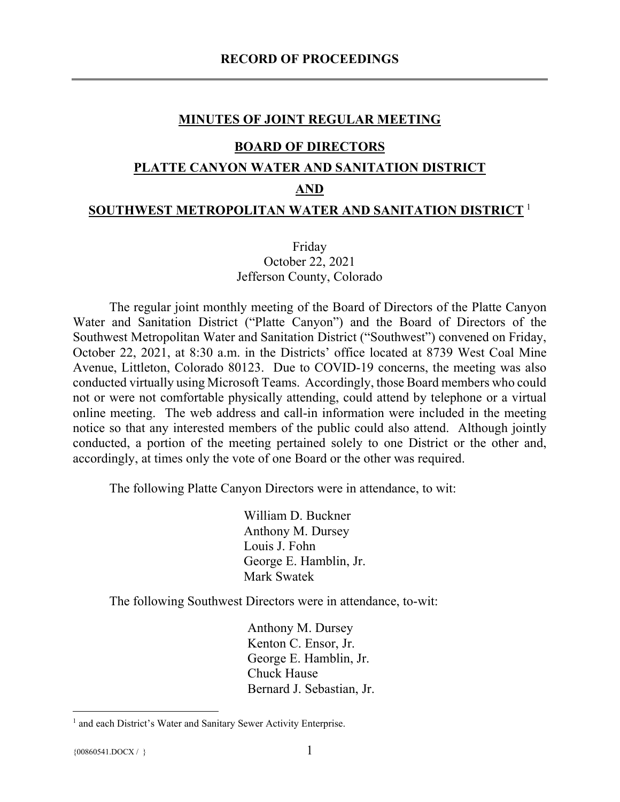#### **MINUTES OF JOINT REGULAR MEETING**

#### **BOARD OF DIRECTORS**

#### **PLATTE CANYON WATER AND SANITATION DISTRICT**

#### **AND**

#### **SOUTHWEST METROPOLITAN WATER AND SANITATION DISTRICT** [1](#page-0-0)

### Friday October 22, 2021 Jefferson County, Colorado

The regular joint monthly meeting of the Board of Directors of the Platte Canyon Water and Sanitation District ("Platte Canyon") and the Board of Directors of the Southwest Metropolitan Water and Sanitation District ("Southwest") convened on Friday, October 22, 2021, at 8:30 a.m. in the Districts' office located at 8739 West Coal Mine Avenue, Littleton, Colorado 80123. Due to COVID-19 concerns, the meeting was also conducted virtually using Microsoft Teams. Accordingly, those Board members who could not or were not comfortable physically attending, could attend by telephone or a virtual online meeting. The web address and call-in information were included in the meeting notice so that any interested members of the public could also attend. Although jointly conducted, a portion of the meeting pertained solely to one District or the other and, accordingly, at times only the vote of one Board or the other was required.

The following Platte Canyon Directors were in attendance, to wit:

William D. Buckner Anthony M. Dursey Louis J. Fohn George E. Hamblin, Jr. Mark Swatek

The following Southwest Directors were in attendance, to-wit:

Anthony M. Dursey Kenton C. Ensor, Jr. George E. Hamblin, Jr. Chuck Hause Bernard J. Sebastian, Jr.

<span id="page-0-0"></span><sup>&</sup>lt;sup>1</sup> and each District's Water and Sanitary Sewer Activity Enterprise.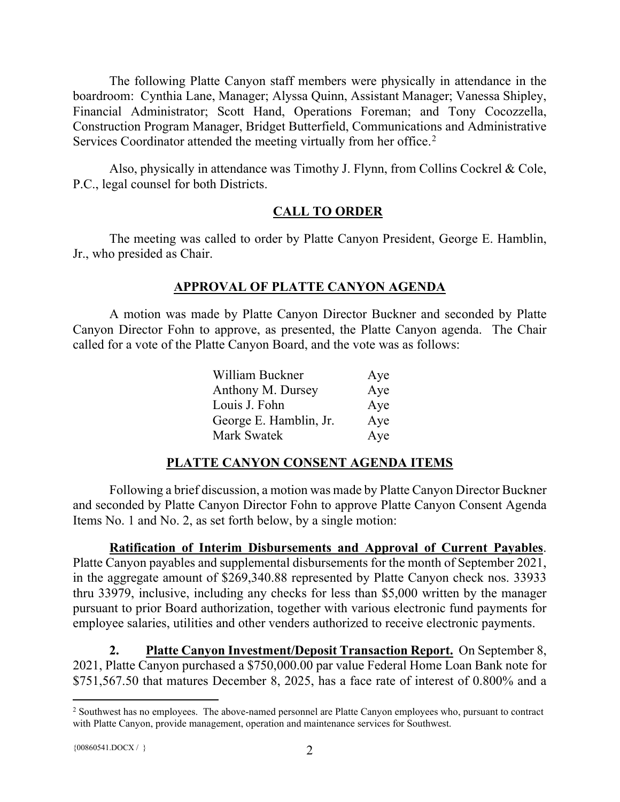The following Platte Canyon staff members were physically in attendance in the boardroom: Cynthia Lane, Manager; Alyssa Quinn, Assistant Manager; Vanessa Shipley, Financial Administrator; Scott Hand, Operations Foreman; and Tony Cocozzella, Construction Program Manager, Bridget Butterfield, Communications and Administrative Services Coordinator attended the meeting virtually from her office.<sup>[2](#page-1-0)</sup>

Also, physically in attendance was Timothy J. Flynn, from Collins Cockrel & Cole, P.C., legal counsel for both Districts.

# **CALL TO ORDER**

The meeting was called to order by Platte Canyon President, George E. Hamblin, Jr., who presided as Chair.

# **APPROVAL OF PLATTE CANYON AGENDA**

A motion was made by Platte Canyon Director Buckner and seconded by Platte Canyon Director Fohn to approve, as presented, the Platte Canyon agenda. The Chair called for a vote of the Platte Canyon Board, and the vote was as follows:

| William Buckner        | Aye |
|------------------------|-----|
| Anthony M. Dursey      | Aye |
| Louis J. Fohn          | Aye |
| George E. Hamblin, Jr. | Aye |
| Mark Swatek            | Aye |

# **PLATTE CANYON CONSENT AGENDA ITEMS**

Following a brief discussion, a motion was made by Platte Canyon Director Buckner and seconded by Platte Canyon Director Fohn to approve Platte Canyon Consent Agenda Items No. 1 and No. 2, as set forth below, by a single motion:

**Ratification of Interim Disbursements and Approval of Current Payables**. Platte Canyon payables and supplemental disbursements for the month of September 2021, in the aggregate amount of \$269,340.88 represented by Platte Canyon check nos. 33933 thru 33979, inclusive, including any checks for less than \$5,000 written by the manager pursuant to prior Board authorization, together with various electronic fund payments for employee salaries, utilities and other venders authorized to receive electronic payments.

**2. Platte Canyon Investment/Deposit Transaction Report.** On September 8, 2021, Platte Canyon purchased a \$750,000.00 par value Federal Home Loan Bank note for \$751,567.50 that matures December 8, 2025, has a face rate of interest of 0.800% and a

<span id="page-1-0"></span><sup>&</sup>lt;sup>2</sup> Southwest has no employees. The above-named personnel are Platte Canyon employees who, pursuant to contract with Platte Canyon, provide management, operation and maintenance services for Southwest.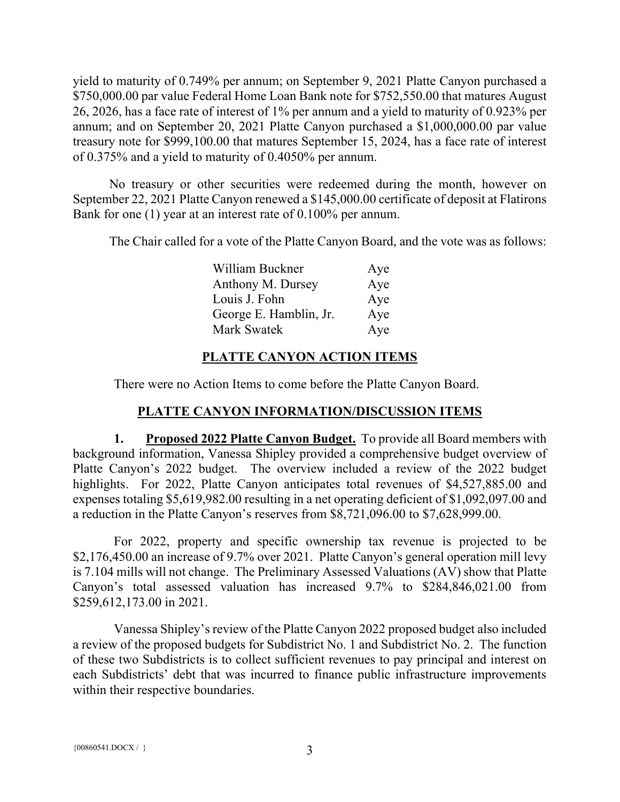yield to maturity of 0.749% per annum; on September 9, 2021 Platte Canyon purchased a \$750,000.00 par value Federal Home Loan Bank note for \$752,550.00 that matures August 26, 2026, has a face rate of interest of 1% per annum and a yield to maturity of 0.923% per annum; and on September 20, 2021 Platte Canyon purchased a \$1,000,000.00 par value treasury note for \$999,100.00 that matures September 15, 2024, has a face rate of interest of 0.375% and a yield to maturity of 0.4050% per annum.

No treasury or other securities were redeemed during the month, however on September 22, 2021 Platte Canyon renewed a \$145,000.00 certificate of deposit at Flatirons Bank for one (1) year at an interest rate of 0.100% per annum.

The Chair called for a vote of the Platte Canyon Board, and the vote was as follows:

| William Buckner        | Aye |
|------------------------|-----|
| Anthony M. Dursey      | Aye |
| Louis J. Fohn          | Aye |
| George E. Hamblin, Jr. | Aye |
| <b>Mark Swatek</b>     | Aye |

# **PLATTE CANYON ACTION ITEMS**

There were no Action Items to come before the Platte Canyon Board.

# **PLATTE CANYON INFORMATION/DISCUSSION ITEMS**

**1. Proposed 2022 Platte Canyon Budget.** To provide all Board members with background information, Vanessa Shipley provided a comprehensive budget overview of Platte Canyon's 2022 budget. The overview included a review of the 2022 budget highlights. For 2022, Platte Canyon anticipates total revenues of \$4,527,885.00 and expenses totaling \$5,619,982.00 resulting in a net operating deficient of \$1,092,097.00 and a reduction in the Platte Canyon's reserves from \$8,721,096.00 to \$7,628,999.00.

For 2022, property and specific ownership tax revenue is projected to be \$2,176,450.00 an increase of 9.7% over 2021. Platte Canyon's general operation mill levy is 7.104 mills will not change. The Preliminary Assessed Valuations (AV) show that Platte Canyon's total assessed valuation has increased 9.7% to \$284,846,021.00 from \$259,612,173.00 in 2021.

Vanessa Shipley's review of the Platte Canyon 2022 proposed budget also included a review of the proposed budgets for Subdistrict No. 1 and Subdistrict No. 2. The function of these two Subdistricts is to collect sufficient revenues to pay principal and interest on each Subdistricts' debt that was incurred to finance public infrastructure improvements within their respective boundaries.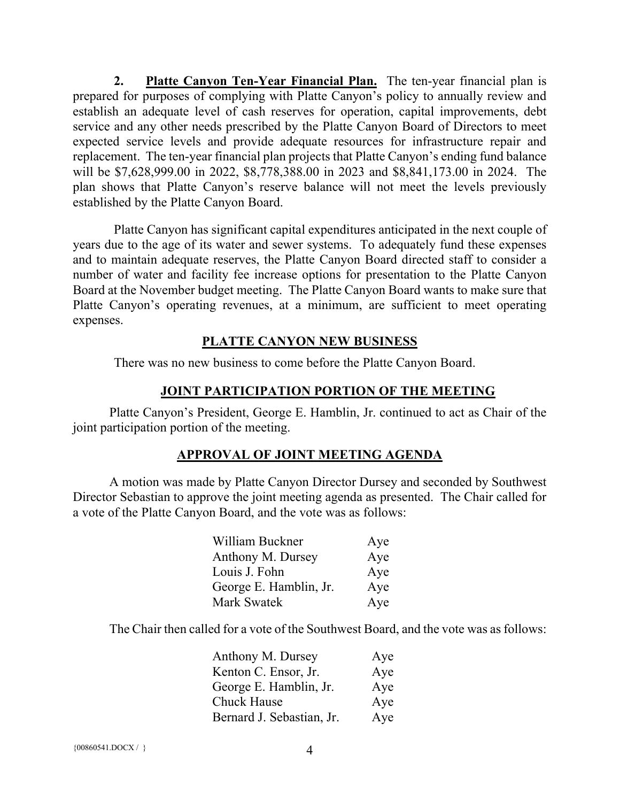**2. Platte Canyon Ten-Year Financial Plan.** The ten-year financial plan is prepared for purposes of complying with Platte Canyon's policy to annually review and establish an adequate level of cash reserves for operation, capital improvements, debt service and any other needs prescribed by the Platte Canyon Board of Directors to meet expected service levels and provide adequate resources for infrastructure repair and replacement. The ten-year financial plan projects that Platte Canyon's ending fund balance will be \$7,628,999.00 in 2022, \$8,778,388.00 in 2023 and \$8,841,173.00 in 2024. The plan shows that Platte Canyon's reserve balance will not meet the levels previously established by the Platte Canyon Board.

Platte Canyon has significant capital expenditures anticipated in the next couple of years due to the age of its water and sewer systems. To adequately fund these expenses and to maintain adequate reserves, the Platte Canyon Board directed staff to consider a number of water and facility fee increase options for presentation to the Platte Canyon Board at the November budget meeting. The Platte Canyon Board wants to make sure that Platte Canyon's operating revenues, at a minimum, are sufficient to meet operating expenses.

## **PLATTE CANYON NEW BUSINESS**

There was no new business to come before the Platte Canyon Board.

## **JOINT PARTICIPATION PORTION OF THE MEETING**

Platte Canyon's President, George E. Hamblin, Jr. continued to act as Chair of the joint participation portion of the meeting.

## **APPROVAL OF JOINT MEETING AGENDA**

A motion was made by Platte Canyon Director Dursey and seconded by Southwest Director Sebastian to approve the joint meeting agenda as presented. The Chair called for a vote of the Platte Canyon Board, and the vote was as follows:

| William Buckner        | Aye |
|------------------------|-----|
| Anthony M. Dursey      | Aye |
| Louis J. Fohn          | Aye |
| George E. Hamblin, Jr. | Aye |
| Mark Swatek            | Aye |

The Chair then called for a vote of the Southwest Board, and the vote was as follows:

| Anthony M. Dursey         | Aye |
|---------------------------|-----|
| Kenton C. Ensor, Jr.      | Aye |
| George E. Hamblin, Jr.    | Aye |
| Chuck Hause               | Aye |
| Bernard J. Sebastian, Jr. | Aye |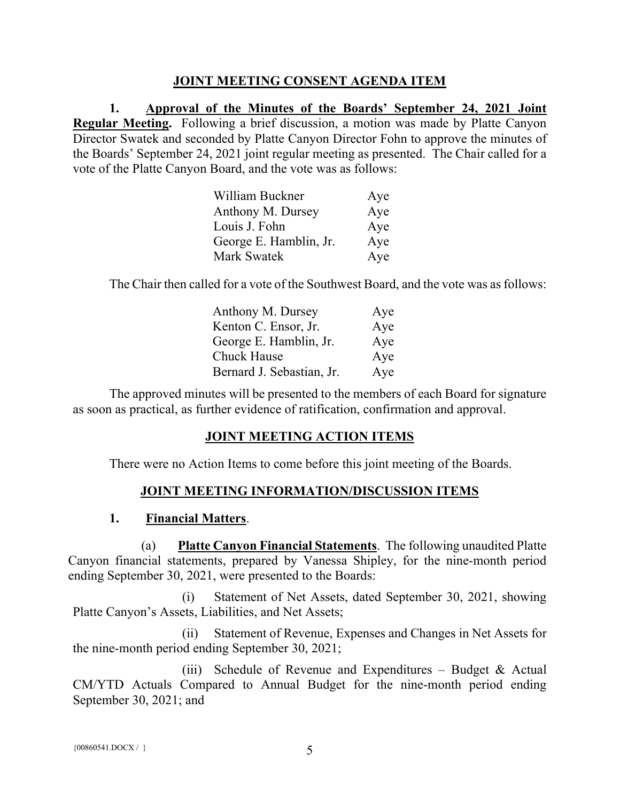## **JOINT MEETING CONSENT AGENDA ITEM**

**1. Approval of the Minutes of the Boards' September 24, 2021 Joint Regular Meeting.** Following a brief discussion, a motion was made by Platte Canyon Director Swatek and seconded by Platte Canyon Director Fohn to approve the minutes of the Boards' September 24, 2021 joint regular meeting as presented. The Chair called for a vote of the Platte Canyon Board, and the vote was as follows:

| William Buckner        | Aye |
|------------------------|-----|
| Anthony M. Dursey      | Aye |
| Louis J. Fohn          | Aye |
| George E. Hamblin, Jr. | Aye |
| Mark Swatek            | Aye |

The Chair then called for a vote of the Southwest Board, and the vote was as follows:

| Anthony M. Dursey         | Aye |
|---------------------------|-----|
| Kenton C. Ensor, Jr.      | Aye |
| George E. Hamblin, Jr.    | Aye |
| <b>Chuck Hause</b>        | Aye |
| Bernard J. Sebastian, Jr. | Aye |

The approved minutes will be presented to the members of each Board for signature as soon as practical, as further evidence of ratification, confirmation and approval.

## **JOINT MEETING ACTION ITEMS**

There were no Action Items to come before this joint meeting of the Boards.

## **JOINT MEETING INFORMATION/DISCUSSION ITEMS**

#### **1. Financial Matters**.

(a) **Platte Canyon Financial Statements**. The following unaudited Platte Canyon financial statements, prepared by Vanessa Shipley, for the nine-month period ending September 30, 2021, were presented to the Boards:

(i) Statement of Net Assets, dated September 30, 2021, showing Platte Canyon's Assets, Liabilities, and Net Assets;

(ii) Statement of Revenue, Expenses and Changes in Net Assets for the nine-month period ending September 30, 2021;

(iii) Schedule of Revenue and Expenditures – Budget & Actual CM/YTD Actuals Compared to Annual Budget for the nine-month period ending September 30, 2021; and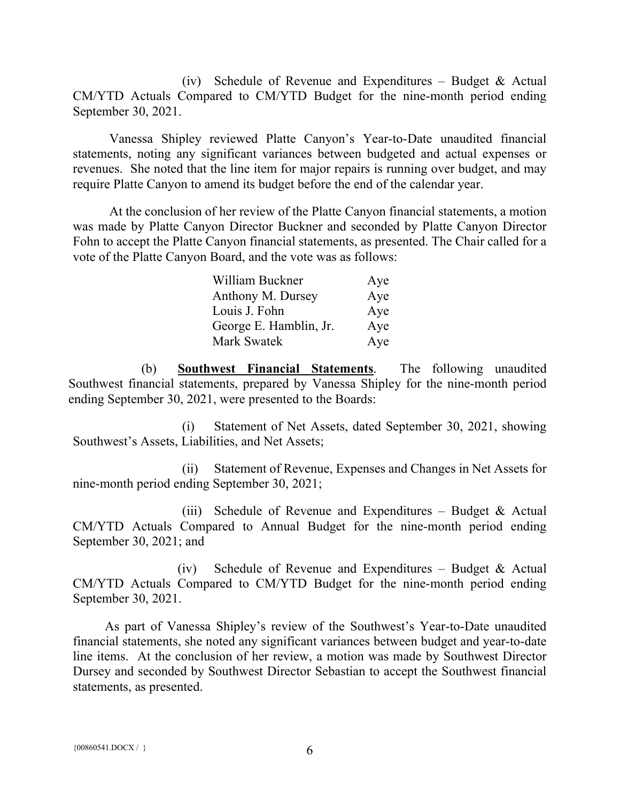(iv) Schedule of Revenue and Expenditures – Budget & Actual CM/YTD Actuals Compared to CM/YTD Budget for the nine-month period ending September 30, 2021.

Vanessa Shipley reviewed Platte Canyon's Year-to-Date unaudited financial statements, noting any significant variances between budgeted and actual expenses or revenues. She noted that the line item for major repairs is running over budget, and may require Platte Canyon to amend its budget before the end of the calendar year.

At the conclusion of her review of the Platte Canyon financial statements, a motion was made by Platte Canyon Director Buckner and seconded by Platte Canyon Director Fohn to accept the Platte Canyon financial statements, as presented. The Chair called for a vote of the Platte Canyon Board, and the vote was as follows:

| William Buckner        | Aye |
|------------------------|-----|
| Anthony M. Dursey      | Aye |
| Louis J. Fohn          | Aye |
| George E. Hamblin, Jr. | Aye |
| <b>Mark Swatek</b>     | Aye |

(b) **Southwest Financial Statements**. The following unaudited Southwest financial statements, prepared by Vanessa Shipley for the nine-month period ending September 30, 2021, were presented to the Boards:

(i) Statement of Net Assets, dated September 30, 2021, showing Southwest's Assets, Liabilities, and Net Assets;

(ii) Statement of Revenue, Expenses and Changes in Net Assets for nine-month period ending September 30, 2021;

(iii) Schedule of Revenue and Expenditures – Budget & Actual CM/YTD Actuals Compared to Annual Budget for the nine-month period ending September 30, 2021; and

(iv) Schedule of Revenue and Expenditures – Budget & Actual CM/YTD Actuals Compared to CM/YTD Budget for the nine-month period ending September 30, 2021.

As part of Vanessa Shipley's review of the Southwest's Year-to-Date unaudited financial statements, she noted any significant variances between budget and year-to-date line items. At the conclusion of her review, a motion was made by Southwest Director Dursey and seconded by Southwest Director Sebastian to accept the Southwest financial statements, as presented.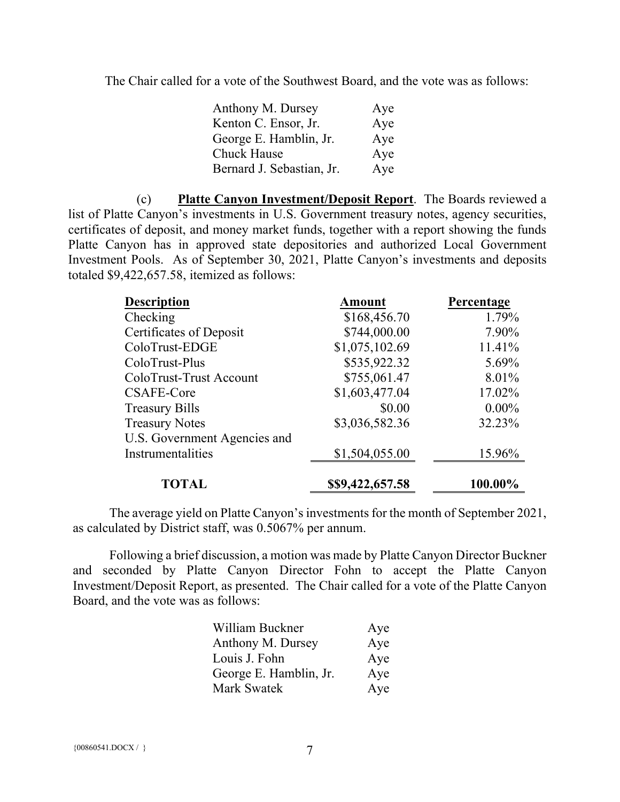The Chair called for a vote of the Southwest Board, and the vote was as follows:

| Anthony M. Dursey         | Aye |
|---------------------------|-----|
| Kenton C. Ensor, Jr.      | Aye |
| George E. Hamblin, Jr.    | Aye |
| Chuck Hause               | Aye |
| Bernard J. Sebastian, Jr. | Aye |

(c) **Platte Canyon Investment/Deposit Report**. The Boards reviewed a list of Platte Canyon's investments in U.S. Government treasury notes, agency securities, certificates of deposit, and money market funds, together with a report showing the funds Platte Canyon has in approved state depositories and authorized Local Government Investment Pools. As of September 30, 2021, Platte Canyon's investments and deposits totaled \$9,422,657.58, itemized as follows:

| <b>Description</b>           | <b>Amount</b>    | Percentage |
|------------------------------|------------------|------------|
| Checking                     | \$168,456.70     | 1.79%      |
| Certificates of Deposit      | \$744,000.00     | 7.90%      |
| ColoTrust-EDGE               | \$1,075,102.69   | 11.41%     |
| ColoTrust-Plus               | \$535,922.32     | 5.69%      |
| ColoTrust-Trust Account      | \$755,061.47     | 8.01%      |
| CSAFE-Core                   | \$1,603,477.04   | 17.02%     |
| <b>Treasury Bills</b>        | \$0.00           | $0.00\%$   |
| <b>Treasury Notes</b>        | \$3,036,582.36   | 32.23%     |
| U.S. Government Agencies and |                  |            |
| Instrumentalities            | \$1,504,055.00   | 15.96%     |
| <b>TOTAL</b>                 | \$\$9,422,657.58 | 100.00%    |

The average yield on Platte Canyon's investments for the month of September 2021, as calculated by District staff, was 0.5067% per annum.

Following a brief discussion, a motion was made by Platte Canyon Director Buckner and seconded by Platte Canyon Director Fohn to accept the Platte Canyon Investment/Deposit Report, as presented. The Chair called for a vote of the Platte Canyon Board, and the vote was as follows:

| William Buckner        | Aye |
|------------------------|-----|
| Anthony M. Dursey      | Aye |
| Louis J. Fohn          | Aye |
| George E. Hamblin, Jr. | Aye |
| Mark Swatek            | Aye |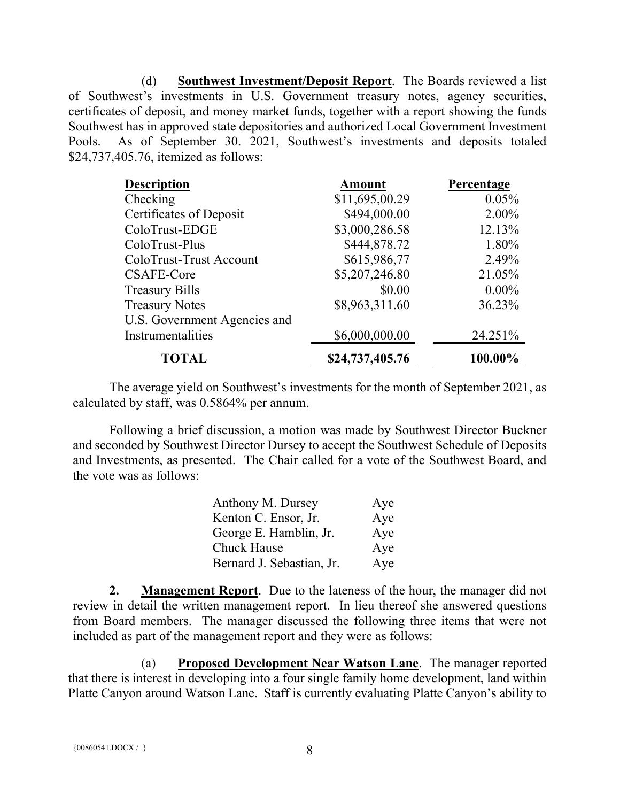(d) **Southwest Investment/Deposit Report**. The Boards reviewed a list of Southwest's investments in U.S. Government treasury notes, agency securities, certificates of deposit, and money market funds, together with a report showing the funds Southwest has in approved state depositories and authorized Local Government Investment Pools. As of September 30. 2021, Southwest's investments and deposits totaled \$24,737,405.76, itemized as follows:

| <b>Description</b>           | <b>Amount</b>   | Percentage |
|------------------------------|-----------------|------------|
| Checking                     | \$11,695,00.29  | 0.05%      |
| Certificates of Deposit      | \$494,000.00    | 2.00%      |
| ColoTrust-EDGE               | \$3,000,286.58  | 12.13%     |
| ColoTrust-Plus               | \$444,878.72    | 1.80%      |
| ColoTrust-Trust Account      | \$615,986,77    | 2.49%      |
| CSAFE-Core                   | \$5,207,246.80  | 21.05%     |
| <b>Treasury Bills</b>        | \$0.00          | $0.00\%$   |
| <b>Treasury Notes</b>        | \$8,963,311.60  | 36.23%     |
| U.S. Government Agencies and |                 |            |
| Instrumentalities            | \$6,000,000.00  | 24.251%    |
| <b>TOTAL</b>                 | \$24,737,405.76 | 100.00%    |

The average yield on Southwest's investments for the month of September 2021, as calculated by staff, was 0.5864% per annum.

Following a brief discussion, a motion was made by Southwest Director Buckner and seconded by Southwest Director Dursey to accept the Southwest Schedule of Deposits and Investments, as presented. The Chair called for a vote of the Southwest Board, and the vote was as follows:

| Anthony M. Dursey         | Aye |
|---------------------------|-----|
| Kenton C. Ensor, Jr.      | Aye |
| George E. Hamblin, Jr.    | Aye |
| Chuck Hause               | Aye |
| Bernard J. Sebastian, Jr. | Aye |

**2. Management Report**. Due to the lateness of the hour, the manager did not review in detail the written management report. In lieu thereof she answered questions from Board members. The manager discussed the following three items that were not included as part of the management report and they were as follows:

(a) **Proposed Development Near Watson Lane**. The manager reported that there is interest in developing into a four single family home development, land within Platte Canyon around Watson Lane. Staff is currently evaluating Platte Canyon's ability to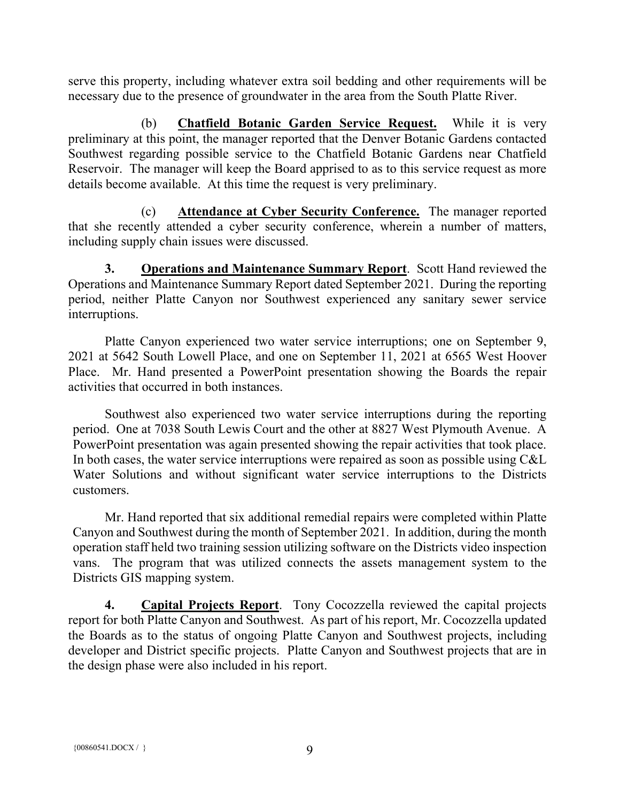serve this property, including whatever extra soil bedding and other requirements will be necessary due to the presence of groundwater in the area from the South Platte River.

(b) **Chatfield Botanic Garden Service Request.** While it is very preliminary at this point, the manager reported that the Denver Botanic Gardens contacted Southwest regarding possible service to the Chatfield Botanic Gardens near Chatfield Reservoir. The manager will keep the Board apprised to as to this service request as more details become available. At this time the request is very preliminary.

(c) **Attendance at Cyber Security Conference.** The manager reported that she recently attended a cyber security conference, wherein a number of matters, including supply chain issues were discussed.

**3. Operations and Maintenance Summary Report**. Scott Hand reviewed the Operations and Maintenance Summary Report dated September 2021. During the reporting period, neither Platte Canyon nor Southwest experienced any sanitary sewer service interruptions.

Platte Canyon experienced two water service interruptions; one on September 9, 2021 at 5642 South Lowell Place, and one on September 11, 2021 at 6565 West Hoover Place. Mr. Hand presented a PowerPoint presentation showing the Boards the repair activities that occurred in both instances.

Southwest also experienced two water service interruptions during the reporting period. One at 7038 South Lewis Court and the other at 8827 West Plymouth Avenue. A PowerPoint presentation was again presented showing the repair activities that took place. In both cases, the water service interruptions were repaired as soon as possible using C&L Water Solutions and without significant water service interruptions to the Districts customers.

Mr. Hand reported that six additional remedial repairs were completed within Platte Canyon and Southwest during the month of September 2021. In addition, during the month operation staff held two training session utilizing software on the Districts video inspection vans. The program that was utilized connects the assets management system to the Districts GIS mapping system.

**4. Capital Projects Report**. Tony Cocozzella reviewed the capital projects report for both Platte Canyon and Southwest. As part of his report, Mr. Cocozzella updated the Boards as to the status of ongoing Platte Canyon and Southwest projects, including developer and District specific projects. Platte Canyon and Southwest projects that are in the design phase were also included in his report.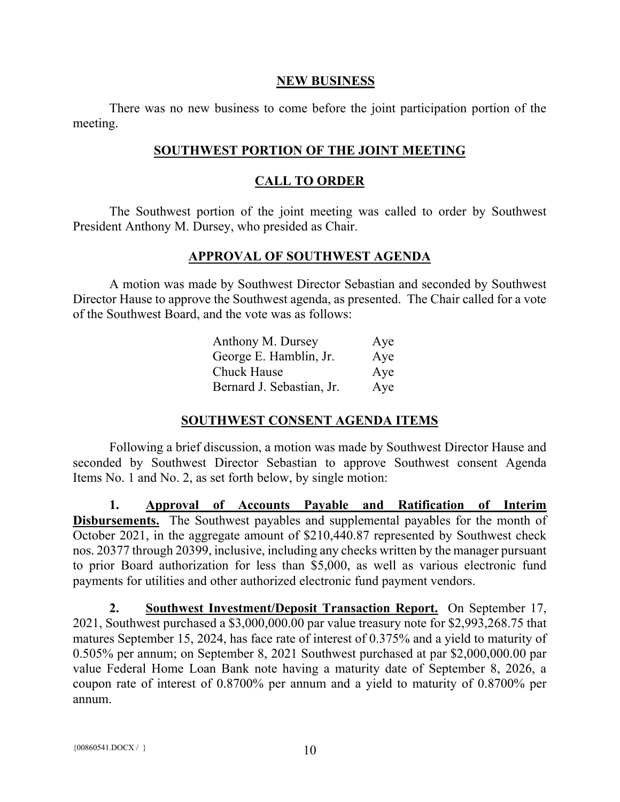#### **NEW BUSINESS**

There was no new business to come before the joint participation portion of the meeting.

#### **SOUTHWEST PORTION OF THE JOINT MEETING**

#### **CALL TO ORDER**

The Southwest portion of the joint meeting was called to order by Southwest President Anthony M. Dursey, who presided as Chair.

#### **APPROVAL OF SOUTHWEST AGENDA**

A motion was made by Southwest Director Sebastian and seconded by Southwest Director Hause to approve the Southwest agenda, as presented. The Chair called for a vote of the Southwest Board, and the vote was as follows:

| Anthony M. Dursey         | Aye |
|---------------------------|-----|
| George E. Hamblin, Jr.    | Aye |
| <b>Chuck Hause</b>        | Aye |
| Bernard J. Sebastian, Jr. | Aye |

## **SOUTHWEST CONSENT AGENDA ITEMS**

Following a brief discussion, a motion was made by Southwest Director Hause and seconded by Southwest Director Sebastian to approve Southwest consent Agenda Items No. 1 and No. 2, as set forth below, by single motion:

**1. Approval of Accounts Payable and Ratification of Interim Disbursements.** The Southwest payables and supplemental payables for the month of October 2021, in the aggregate amount of \$210,440.87 represented by Southwest check nos. 20377 through 20399, inclusive, including any checks written by the manager pursuant to prior Board authorization for less than \$5,000, as well as various electronic fund payments for utilities and other authorized electronic fund payment vendors.

**2. Southwest Investment/Deposit Transaction Report.** On September 17, 2021, Southwest purchased a \$3,000,000.00 par value treasury note for \$2,993,268.75 that matures September 15, 2024, has face rate of interest of 0.375% and a yield to maturity of 0.505% per annum; on September 8, 2021 Southwest purchased at par \$2,000,000.00 par value Federal Home Loan Bank note having a maturity date of September 8, 2026, a coupon rate of interest of 0.8700% per annum and a yield to maturity of 0.8700% per annum.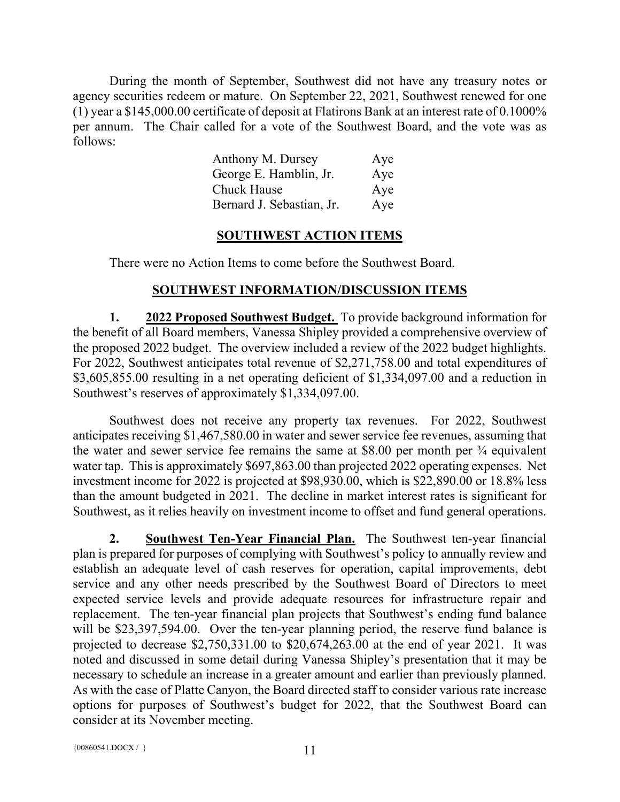During the month of September, Southwest did not have any treasury notes or agency securities redeem or mature. On September 22, 2021, Southwest renewed for one (1) year a \$145,000.00 certificate of deposit at Flatirons Bank at an interest rate of 0.1000% per annum. The Chair called for a vote of the Southwest Board, and the vote was as follows:

| Anthony M. Dursey         | Aye |
|---------------------------|-----|
| George E. Hamblin, Jr.    | Aye |
| <b>Chuck Hause</b>        | Aye |
| Bernard J. Sebastian, Jr. | Aye |

#### **SOUTHWEST ACTION ITEMS**

There were no Action Items to come before the Southwest Board.

## **SOUTHWEST INFORMATION/DISCUSSION ITEMS**

**1. 2022 Proposed Southwest Budget.** To provide background information for the benefit of all Board members, Vanessa Shipley provided a comprehensive overview of the proposed 2022 budget. The overview included a review of the 2022 budget highlights. For 2022, Southwest anticipates total revenue of \$2,271,758.00 and total expenditures of \$3,605,855.00 resulting in a net operating deficient of \$1,334,097.00 and a reduction in Southwest's reserves of approximately \$1,334,097.00.

Southwest does not receive any property tax revenues. For 2022, Southwest anticipates receiving \$1,467,580.00 in water and sewer service fee revenues, assuming that the water and sewer service fee remains the same at \$8.00 per month per  $\frac{3}{4}$  equivalent water tap. This is approximately \$697,863.00 than projected 2022 operating expenses. Net investment income for 2022 is projected at \$98,930.00, which is \$22,890.00 or 18.8% less than the amount budgeted in 2021. The decline in market interest rates is significant for Southwest, as it relies heavily on investment income to offset and fund general operations.

**2. Southwest Ten-Year Financial Plan.** The Southwest ten-year financial plan is prepared for purposes of complying with Southwest's policy to annually review and establish an adequate level of cash reserves for operation, capital improvements, debt service and any other needs prescribed by the Southwest Board of Directors to meet expected service levels and provide adequate resources for infrastructure repair and replacement. The ten-year financial plan projects that Southwest's ending fund balance will be \$23,397,594.00. Over the ten-year planning period, the reserve fund balance is projected to decrease \$2,750,331.00 to \$20,674,263.00 at the end of year 2021. It was noted and discussed in some detail during Vanessa Shipley's presentation that it may be necessary to schedule an increase in a greater amount and earlier than previously planned. As with the case of Platte Canyon, the Board directed staff to consider various rate increase options for purposes of Southwest's budget for 2022, that the Southwest Board can consider at its November meeting.

{ $00860541.DOCX / }$ } 11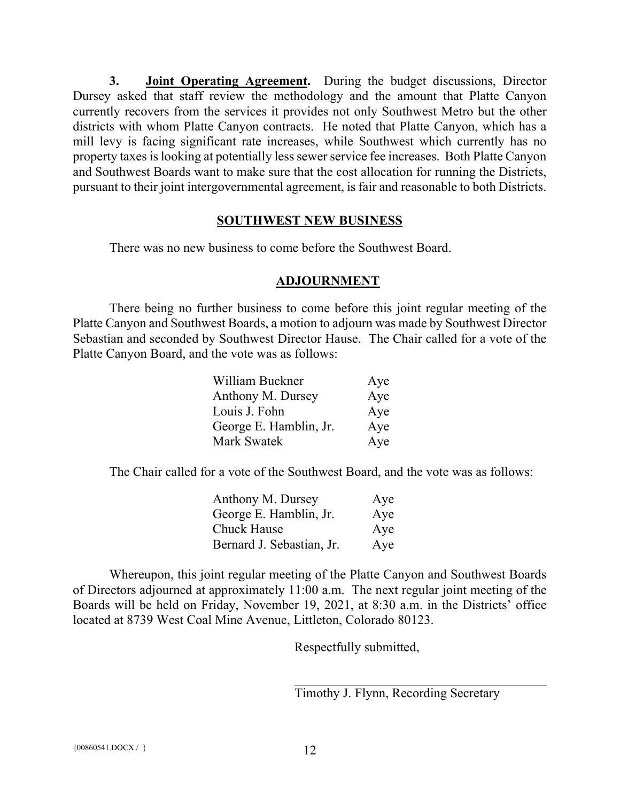**3. Joint Operating Agreement.** During the budget discussions, Director Dursey asked that staff review the methodology and the amount that Platte Canyon currently recovers from the services it provides not only Southwest Metro but the other districts with whom Platte Canyon contracts. He noted that Platte Canyon, which has a mill levy is facing significant rate increases, while Southwest which currently has no property taxes is looking at potentially less sewer service fee increases. Both Platte Canyon and Southwest Boards want to make sure that the cost allocation for running the Districts, pursuant to their joint intergovernmental agreement, is fair and reasonable to both Districts.

#### **SOUTHWEST NEW BUSINESS**

There was no new business to come before the Southwest Board.

#### **ADJOURNMENT**

There being no further business to come before this joint regular meeting of the Platte Canyon and Southwest Boards, a motion to adjourn was made by Southwest Director Sebastian and seconded by Southwest Director Hause. The Chair called for a vote of the Platte Canyon Board, and the vote was as follows:

| William Buckner        | Aye |
|------------------------|-----|
| Anthony M. Dursey      | Aye |
| Louis J. Fohn          | Aye |
| George E. Hamblin, Jr. | Aye |
| <b>Mark Swatek</b>     | Aye |

The Chair called for a vote of the Southwest Board, and the vote was as follows:

| Anthony M. Dursey         | Aye |
|---------------------------|-----|
| George E. Hamblin, Jr.    | Aye |
| <b>Chuck Hause</b>        | Aye |
| Bernard J. Sebastian, Jr. | Aye |

Whereupon, this joint regular meeting of the Platte Canyon and Southwest Boards of Directors adjourned at approximately 11:00 a.m. The next regular joint meeting of the Boards will be held on Friday, November 19, 2021, at 8:30 a.m. in the Districts' office located at 8739 West Coal Mine Avenue, Littleton, Colorado 80123.

Respectfully submitted,

Timothy J. Flynn, Recording Secretary